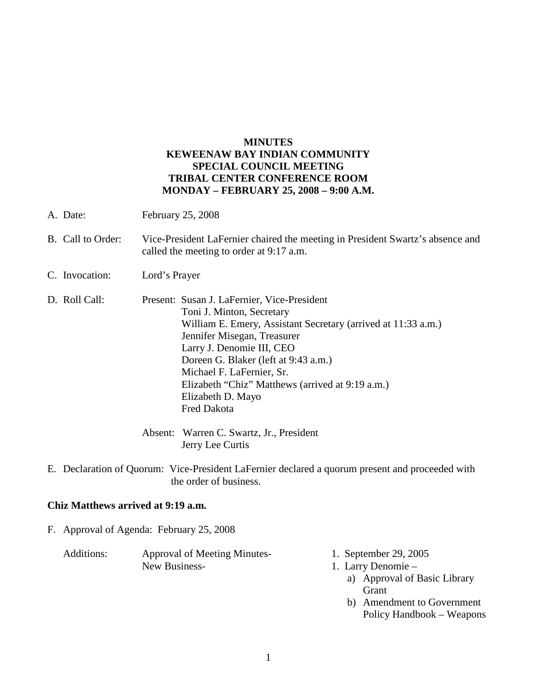## **MINUTES KEWEENAW BAY INDIAN COMMUNITY SPECIAL COUNCIL MEETING TRIBAL CENTER CONFERENCE ROOM MONDAY – FEBRUARY 25, 2008 – 9:00 A.M.**

- A. Date: February 25, 2008
- B. Call to Order: Vice-President LaFernier chaired the meeting in President Swartz's absence and called the meeting to order at 9:17 a.m.
- C. Invocation: Lord's Prayer
- D. Roll Call: Present: Susan J. LaFernier, Vice-President Toni J. Minton, Secretary William E. Emery, Assistant Secretary (arrived at 11:33 a.m.) Jennifer Misegan, Treasurer Larry J. Denomie III, CEO Doreen G. Blaker (left at 9:43 a.m.) Michael F. LaFernier, Sr. Elizabeth "Chiz" Matthews (arrived at 9:19 a.m.) Elizabeth D. Mayo Fred Dakota
	- Absent: Warren C. Swartz, Jr., President Jerry Lee Curtis
- E. Declaration of Quorum: Vice-President LaFernier declared a quorum present and proceeded with the order of business.

## **Chiz Matthews arrived at 9:19 a.m.**

F. Approval of Agenda: February 25, 2008

| Additions: | <b>Approval of Meeting Minutes-</b> | 1. September 29, 2005 |
|------------|-------------------------------------|-----------------------|
|            | New Business-                       | 1. Larry Denomie –    |
|            |                                     |                       |

- a) Approval of Basic Library Grant
- b) Amendment to Government Policy Handbook – Weapons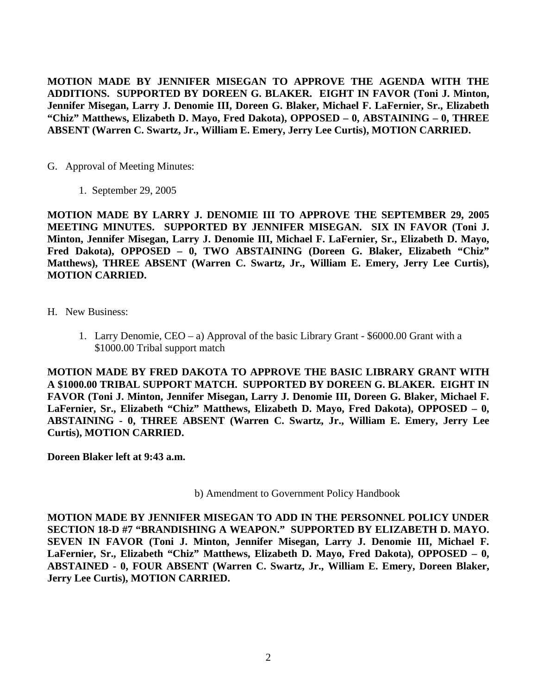**MOTION MADE BY JENNIFER MISEGAN TO APPROVE THE AGENDA WITH THE ADDITIONS. SUPPORTED BY DOREEN G. BLAKER. EIGHT IN FAVOR (Toni J. Minton, Jennifer Misegan, Larry J. Denomie III, Doreen G. Blaker, Michael F. LaFernier, Sr., Elizabeth "Chiz" Matthews, Elizabeth D. Mayo, Fred Dakota), OPPOSED – 0, ABSTAINING – 0, THREE ABSENT (Warren C. Swartz, Jr., William E. Emery, Jerry Lee Curtis), MOTION CARRIED.**

- G. Approval of Meeting Minutes:
	- 1. September 29, 2005

**MOTION MADE BY LARRY J. DENOMIE III TO APPROVE THE SEPTEMBER 29, 2005 MEETING MINUTES. SUPPORTED BY JENNIFER MISEGAN. SIX IN FAVOR (Toni J. Minton, Jennifer Misegan, Larry J. Denomie III, Michael F. LaFernier, Sr., Elizabeth D. Mayo, Fred Dakota), OPPOSED – 0, TWO ABSTAINING (Doreen G. Blaker, Elizabeth "Chiz" Matthews), THREE ABSENT (Warren C. Swartz, Jr., William E. Emery, Jerry Lee Curtis), MOTION CARRIED.**

- H. New Business:
	- 1. Larry Denomie, CEO a) Approval of the basic Library Grant \$6000.00 Grant with a \$1000.00 Tribal support match

**MOTION MADE BY FRED DAKOTA TO APPROVE THE BASIC LIBRARY GRANT WITH A \$1000.00 TRIBAL SUPPORT MATCH. SUPPORTED BY DOREEN G. BLAKER. EIGHT IN FAVOR (Toni J. Minton, Jennifer Misegan, Larry J. Denomie III, Doreen G. Blaker, Michael F. LaFernier, Sr., Elizabeth "Chiz" Matthews, Elizabeth D. Mayo, Fred Dakota), OPPOSED – 0, ABSTAINING - 0, THREE ABSENT (Warren C. Swartz, Jr., William E. Emery, Jerry Lee Curtis), MOTION CARRIED.**

**Doreen Blaker left at 9:43 a.m.**

b) Amendment to Government Policy Handbook

**MOTION MADE BY JENNIFER MISEGAN TO ADD IN THE PERSONNEL POLICY UNDER SECTION 18-D #7 "BRANDISHING A WEAPON." SUPPORTED BY ELIZABETH D. MAYO. SEVEN IN FAVOR (Toni J. Minton, Jennifer Misegan, Larry J. Denomie III, Michael F. LaFernier, Sr., Elizabeth "Chiz" Matthews, Elizabeth D. Mayo, Fred Dakota), OPPOSED – 0, ABSTAINED - 0, FOUR ABSENT (Warren C. Swartz, Jr., William E. Emery, Doreen Blaker, Jerry Lee Curtis), MOTION CARRIED.**